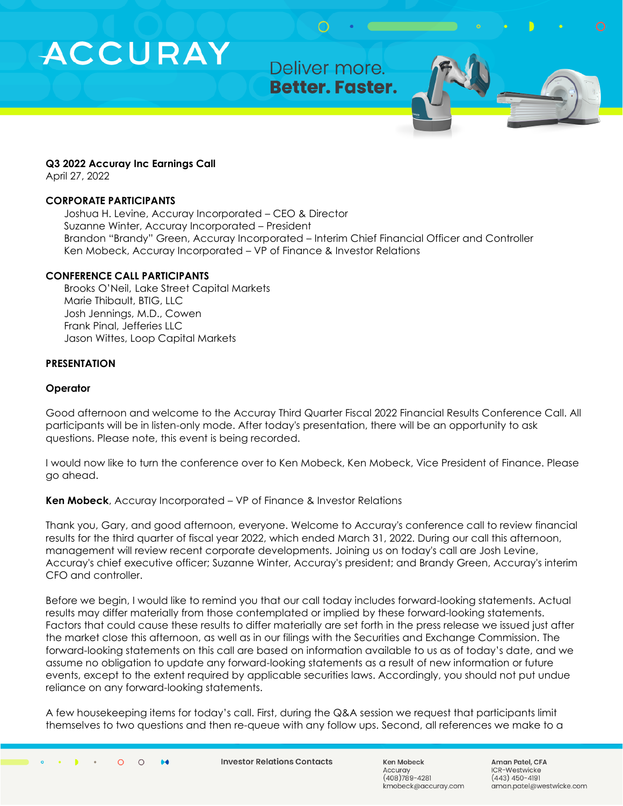Deliver more. **Better. Faster.** 

#### **Q3 2022 Accuray Inc Earnings Call**

April 27, 2022

#### **CORPORATE PARTICIPANTS**

Joshua H. Levine, Accuray Incorporated – CEO & Director Suzanne Winter, Accuray Incorporated – President Brandon "Brandy" Green, Accuray Incorporated – Interim Chief Financial Officer and Controller Ken Mobeck, Accuray Incorporated – VP of Finance & Investor Relations

#### **CONFERENCE CALL PARTICIPANTS**

Brooks O'Neil, Lake Street Capital Markets Marie Thibault, BTIG, LLC Josh Jennings, M.D., Cowen Frank Pinal, Jefferies LLC Jason Wittes, Loop Capital Markets

#### **PRESENTATION**

#### **Operator**

Good afternoon and welcome to the Accuray Third Quarter Fiscal 2022 Financial Results Conference Call. All participants will be in listen-only mode. After today's presentation, there will be an opportunity to ask questions. Please note, this event is being recorded.

I would now like to turn the conference over to Ken Mobeck, Ken Mobeck, Vice President of Finance. Please go ahead.

#### **Ken Mobeck**, Accuray Incorporated – VP of Finance & Investor Relations

Thank you, Gary, and good afternoon, everyone. Welcome to Accuray's conference call to review financial results for the third quarter of fiscal year 2022, which ended March 31, 2022. During our call this afternoon, management will review recent corporate developments. Joining us on today's call are Josh Levine, Accuray's chief executive officer; Suzanne Winter, Accuray's president; and Brandy Green, Accuray's interim CFO and controller.

Before we begin, I would like to remind you that our call today includes forward-looking statements. Actual results may differ materially from those contemplated or implied by these forward-looking statements. Factors that could cause these results to differ materially are set forth in the press release we issued just after the market close this afternoon, as well as in our filings with the Securities and Exchange Commission. The forward-looking statements on this call are based on information available to us as of today's date, and we assume no obligation to update any forward-looking statements as a result of new information or future events, except to the extent required by applicable securities laws. Accordingly, you should not put undue reliance on any forward-looking statements.

A few housekeeping items for today's call. First, during the Q&A session we request that participants limit themselves to two questions and then re-queue with any follow ups. Second, all references we make to a

**Investor Relations Contacts** 

Ken Mobeck Accurav (408)789-4281 kmobeck@accuray.com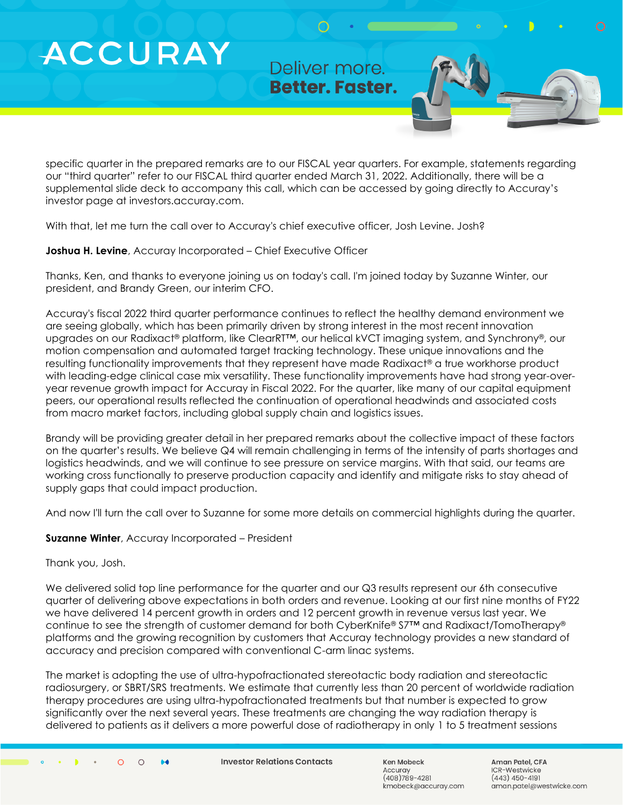Deliver more. **Better. Faster.** 

specific quarter in the prepared remarks are to our FISCAL year quarters. For example, statements regarding our "third quarter" refer to our FISCAL third quarter ended March 31, 2022. Additionally, there will be a supplemental slide deck to accompany this call, which can be accessed by going directly to Accuray's investor page at investors.accuray.com.

With that, let me turn the call over to Accuray's chief executive officer, Josh Levine. Josh?

**Joshua H. Levine**, Accuray Incorporated – Chief Executive Officer

Thanks, Ken, and thanks to everyone joining us on today's call. I'm joined today by Suzanne Winter, our president, and Brandy Green, our interim CFO.

Accuray's fiscal 2022 third quarter performance continues to reflect the healthy demand environment we are seeing globally, which has been primarily driven by strong interest in the most recent innovation upgrades on our Radixact® platform, like ClearRT™, our helical kVCT imaging system, and Synchrony®, our motion compensation and automated target tracking technology. These unique innovations and the resulting functionality improvements that they represent have made Radixact® a true workhorse product with leading-edge clinical case mix versatility. These functionality improvements have had strong year-overyear revenue growth impact for Accuray in Fiscal 2022. For the quarter, like many of our capital equipment peers, our operational results reflected the continuation of operational headwinds and associated costs from macro market factors, including global supply chain and logistics issues.

Brandy will be providing greater detail in her prepared remarks about the collective impact of these factors on the quarter's results. We believe Q4 will remain challenging in terms of the intensity of parts shortages and logistics headwinds, and we will continue to see pressure on service margins. With that said, our teams are working cross functionally to preserve production capacity and identify and mitigate risks to stay ahead of supply gaps that could impact production.

And now I'll turn the call over to Suzanne for some more details on commercial highlights during the quarter.

#### **Suzanne Winter**, Accuray Incorporated – President

Thank you, Josh.

We delivered solid top line performance for the quarter and our Q3 results represent our 6th consecutive quarter of delivering above expectations in both orders and revenue. Looking at our first nine months of FY22 we have delivered 14 percent growth in orders and 12 percent growth in revenue versus last year. We continue to see the strength of customer demand for both CyberKnife® S7™ and Radixact/TomoTherapy® platforms and the growing recognition by customers that Accuray technology provides a new standard of accuracy and precision compared with conventional C-arm linac systems.

The market is adopting the use of ultra-hypofractionated stereotactic body radiation and stereotactic radiosurgery, or SBRT/SRS treatments. We estimate that currently less than 20 percent of worldwide radiation therapy procedures are using ultra-hypofractionated treatments but that number is expected to grow significantly over the next several years. These treatments are changing the way radiation therapy is delivered to patients as it delivers a more powerful dose of radiotherapy in only 1 to 5 treatment sessions

**Investor Relations Contacts** 

Ken Mobeck Accuray  $(408)789 - 4281$ kmobeck@accuray.com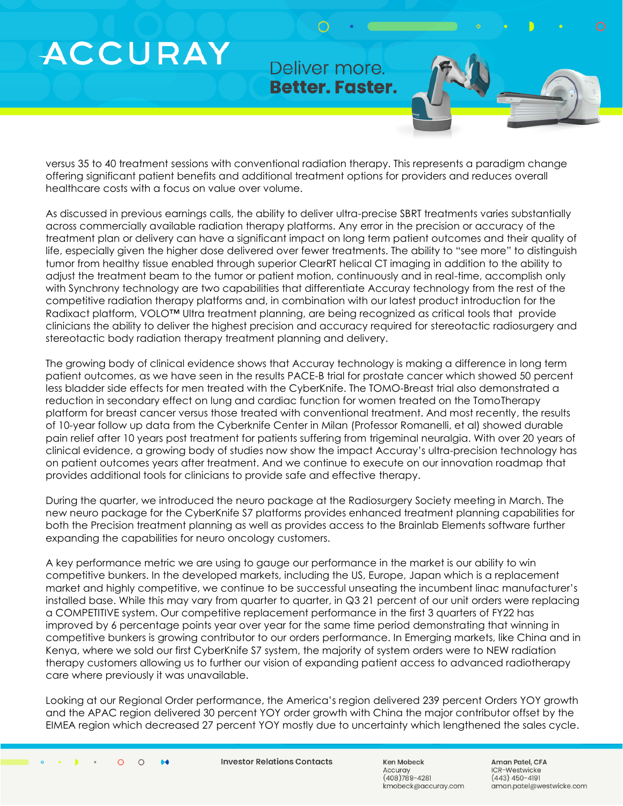Deliver more **Better. Faster.** 

versus 35 to 40 treatment sessions with conventional radiation therapy. This represents a paradigm change offering significant patient benefits and additional treatment options for providers and reduces overall healthcare costs with a focus on value over volume.

As discussed in previous earnings calls, the ability to deliver ultra-precise SBRT treatments varies substantially across commercially available radiation therapy platforms. Any error in the precision or accuracy of the treatment plan or delivery can have a significant impact on long term patient outcomes and their quality of life, especially given the higher dose delivered over fewer treatments. The ability to "see more" to distinguish tumor from healthy tissue enabled through superior ClearRT helical CT imaging in addition to the ability to adjust the treatment beam to the tumor or patient motion, continuously and in real-time, accomplish only with Synchrony technology are two capabilities that differentiate Accuray technology from the rest of the competitive radiation therapy platforms and, in combination with our latest product introduction for the Radixact platform, VOLO™ Ultra treatment planning, are being recognized as critical tools that provide clinicians the ability to deliver the highest precision and accuracy required for stereotactic radiosurgery and stereotactic body radiation therapy treatment planning and delivery.

The growing body of clinical evidence shows that Accuray technology is making a difference in long term patient outcomes, as we have seen in the results PACE-B trial for prostate cancer which showed 50 percent less bladder side effects for men treated with the CyberKnife. The TOMO-Breast trial also demonstrated a reduction in secondary effect on lung and cardiac function for women treated on the TomoTherapy platform for breast cancer versus those treated with conventional treatment. And most recently, the results of 10-year follow up data from the Cyberknife Center in Milan (Professor Romanelli, et al) showed durable pain relief after 10 years post treatment for patients suffering from trigeminal neuralgia. With over 20 years of clinical evidence, a growing body of studies now show the impact Accuray's ultra-precision technology has on patient outcomes years after treatment. And we continue to execute on our innovation roadmap that provides additional tools for clinicians to provide safe and effective therapy.

During the quarter, we introduced the neuro package at the Radiosurgery Society meeting in March. The new neuro package for the CyberKnife S7 platforms provides enhanced treatment planning capabilities for both the Precision treatment planning as well as provides access to the Brainlab Elements software further expanding the capabilities for neuro oncology customers.

A key performance metric we are using to gauge our performance in the market is our ability to win competitive bunkers. In the developed markets, including the US, Europe, Japan which is a replacement market and highly competitive, we continue to be successful unseating the incumbent linac manufacturer's installed base. While this may vary from quarter to quarter, in Q3 21 percent of our unit orders were replacing a COMPETITIVE system. Our competitive replacement performance in the first 3 quarters of FY22 has improved by 6 percentage points year over year for the same time period demonstrating that winning in competitive bunkers is growing contributor to our orders performance. In Emerging markets, like China and in Kenya, where we sold our first CyberKnife S7 system, the majority of system orders were to NEW radiation therapy customers allowing us to further our vision of expanding patient access to advanced radiotherapy care where previously it was unavailable.

Looking at our Regional Order performance, the America's region delivered 239 percent Orders YOY growth and the APAC region delivered 30 percent YOY order growth with China the major contributor offset by the EIMEA region which decreased 27 percent YOY mostly due to uncertainty which lengthened the sales cycle.

**Investor Relations Contacts** 

Ken Mobeck Accurav  $(408)789 - 4281$ kmobeck@accuray.com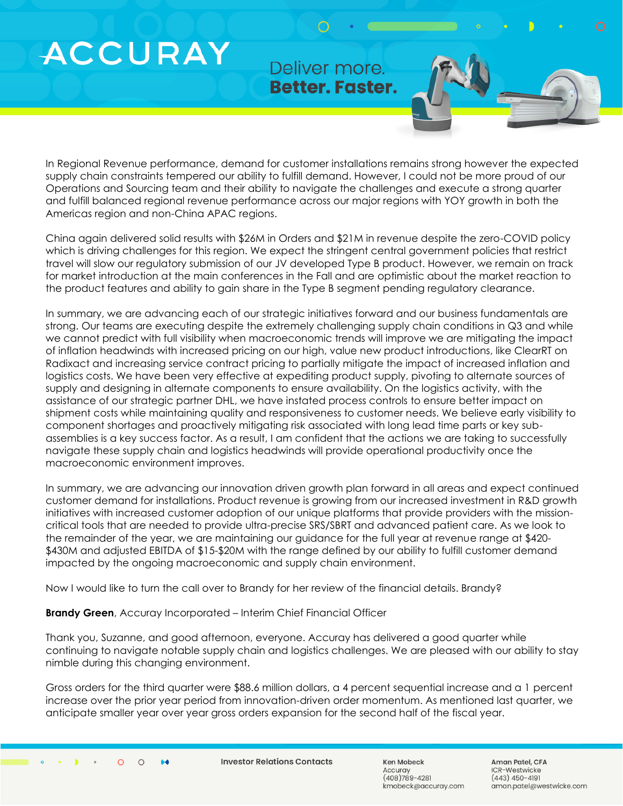Deliver more. **Better. Faster.** 

In Regional Revenue performance, demand for customer installations remains strong however the expected supply chain constraints tempered our ability to fulfill demand. However, I could not be more proud of our Operations and Sourcing team and their ability to navigate the challenges and execute a strong quarter and fulfill balanced regional revenue performance across our major regions with YOY growth in both the Americas region and non-China APAC regions.

China again delivered solid results with \$26M in Orders and \$21M in revenue despite the zero-COVID policy which is driving challenges for this region. We expect the stringent central government policies that restrict travel will slow our regulatory submission of our JV developed Type B product. However, we remain on track for market introduction at the main conferences in the Fall and are optimistic about the market reaction to the product features and ability to gain share in the Type B segment pending regulatory clearance.

In summary, we are advancing each of our strategic initiatives forward and our business fundamentals are strong. Our teams are executing despite the extremely challenging supply chain conditions in Q3 and while we cannot predict with full visibility when macroeconomic trends will improve we are mitigating the impact of inflation headwinds with increased pricing on our high, value new product introductions, like ClearRT on Radixact and increasing service contract pricing to partially mitigate the impact of increased inflation and logistics costs. We have been very effective at expediting product supply, pivoting to alternate sources of supply and designing in alternate components to ensure availability. On the logistics activity, with the assistance of our strategic partner DHL, we have instated process controls to ensure better impact on shipment costs while maintaining quality and responsiveness to customer needs. We believe early visibility to component shortages and proactively mitigating risk associated with long lead time parts or key subassemblies is a key success factor. As a result, I am confident that the actions we are taking to successfully navigate these supply chain and logistics headwinds will provide operational productivity once the macroeconomic environment improves.

In summary, we are advancing our innovation driven growth plan forward in all areas and expect continued customer demand for installations. Product revenue is growing from our increased investment in R&D growth initiatives with increased customer adoption of our unique platforms that provide providers with the missioncritical tools that are needed to provide ultra-precise SRS/SBRT and advanced patient care. As we look to the remainder of the year, we are maintaining our guidance for the full year at revenue range at \$420- \$430M and adjusted EBITDA of \$15-\$20M with the range defined by our ability to fulfill customer demand impacted by the ongoing macroeconomic and supply chain environment.

Now I would like to turn the call over to Brandy for her review of the financial details. Brandy?

**Brandy Green**, Accuray Incorporated – Interim Chief Financial Officer

Thank you, Suzanne, and good afternoon, everyone. Accuray has delivered a good quarter while continuing to navigate notable supply chain and logistics challenges. We are pleased with our ability to stay nimble during this changing environment.

Gross orders for the third quarter were \$88.6 million dollars, a 4 percent sequential increase and a 1 percent increase over the prior year period from innovation-driven order momentum. As mentioned last quarter, we anticipate smaller year over year gross orders expansion for the second half of the fiscal year.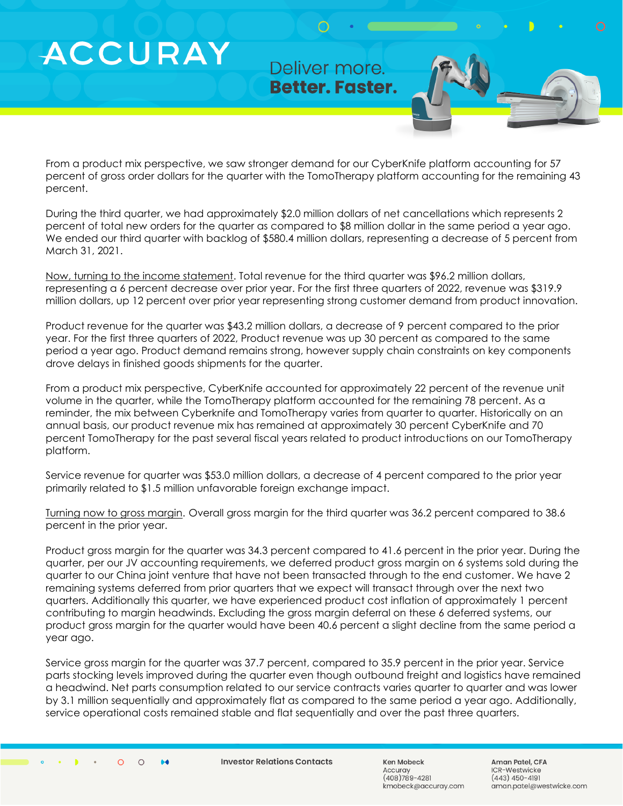Deliver more. **Better. Faster.** 

From a product mix perspective, we saw stronger demand for our CyberKnife platform accounting for 57 percent of gross order dollars for the quarter with the TomoTherapy platform accounting for the remaining 43 percent.

During the third quarter, we had approximately \$2.0 million dollars of net cancellations which represents 2 percent of total new orders for the quarter as compared to \$8 million dollar in the same period a year ago. We ended our third quarter with backlog of \$580.4 million dollars, representing a decrease of 5 percent from March 31, 2021.

Now, turning to the income statement. Total revenue for the third quarter was \$96.2 million dollars, representing a 6 percent decrease over prior year. For the first three quarters of 2022, revenue was \$319.9 million dollars, up 12 percent over prior year representing strong customer demand from product innovation.

Product revenue for the quarter was \$43.2 million dollars, a decrease of 9 percent compared to the prior year. For the first three quarters of 2022, Product revenue was up 30 percent as compared to the same period a year ago. Product demand remains strong, however supply chain constraints on key components drove delays in finished goods shipments for the quarter.

From a product mix perspective, CyberKnife accounted for approximately 22 percent of the revenue unit volume in the quarter, while the TomoTherapy platform accounted for the remaining 78 percent. As a reminder, the mix between Cyberknife and TomoTherapy varies from quarter to quarter. Historically on an annual basis, our product revenue mix has remained at approximately 30 percent CyberKnife and 70 percent TomoTherapy for the past several fiscal years related to product introductions on our TomoTherapy platform.

Service revenue for quarter was \$53.0 million dollars, a decrease of 4 percent compared to the prior year primarily related to \$1.5 million unfavorable foreign exchange impact.

Turning now to gross margin. Overall gross margin for the third quarter was 36.2 percent compared to 38.6 percent in the prior year.

Product gross margin for the quarter was 34.3 percent compared to 41.6 percent in the prior year. During the quarter, per our JV accounting requirements, we deferred product gross margin on 6 systems sold during the quarter to our China joint venture that have not been transacted through to the end customer. We have 2 remaining systems deferred from prior quarters that we expect will transact through over the next two quarters. Additionally this quarter, we have experienced product cost inflation of approximately 1 percent contributing to margin headwinds. Excluding the gross margin deferral on these 6 deferred systems, our product gross margin for the quarter would have been 40.6 percent a slight decline from the same period a year ago.

Service gross margin for the quarter was 37.7 percent, compared to 35.9 percent in the prior year. Service parts stocking levels improved during the quarter even though outbound freight and logistics have remained a headwind. Net parts consumption related to our service contracts varies quarter to quarter and was lower by 3.1 million sequentially and approximately flat as compared to the same period a year ago. Additionally, service operational costs remained stable and flat sequentially and over the past three quarters.

 $\Omega$  $\bigcap$  $\bullet\bullet$  **Investor Relations Contacts** 

Ken Mobeck Accurav  $(408)789 - 4281$ kmobeck@accuray.com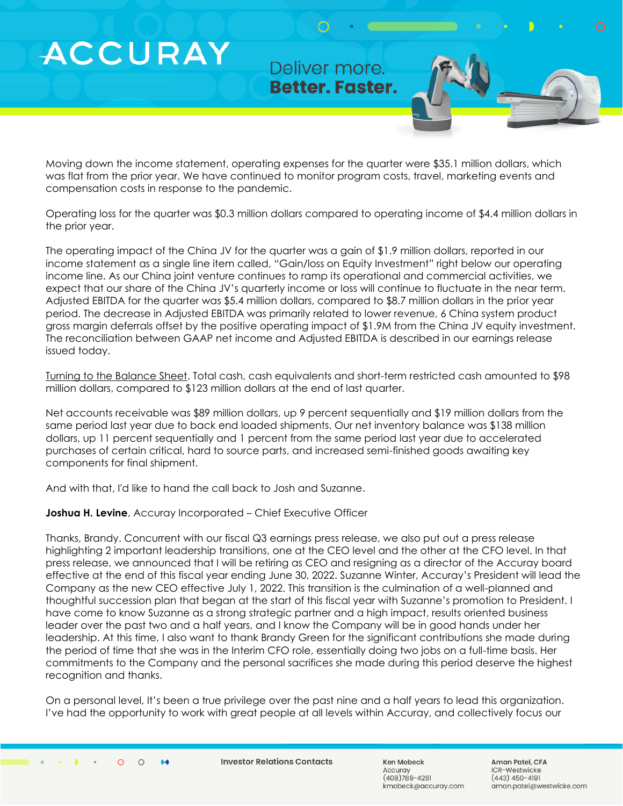Deliver more. **Better. Faster.** 

Moving down the income statement, operating expenses for the quarter were \$35.1 million dollars, which was flat from the prior year. We have continued to monitor program costs, travel, marketing events and compensation costs in response to the pandemic.

Operating loss for the quarter was \$0.3 million dollars compared to operating income of \$4.4 million dollars in the prior year.

The operating impact of the China JV for the quarter was a gain of \$1.9 million dollars, reported in our income statement as a single line item called, "Gain/loss on Equity Investment" right below our operating income line. As our China joint venture continues to ramp its operational and commercial activities, we expect that our share of the China JV's quarterly income or loss will continue to fluctuate in the near term. Adjusted EBITDA for the quarter was \$5.4 million dollars, compared to \$8.7 million dollars in the prior year period. The decrease in Adjusted EBITDA was primarily related to lower revenue, 6 China system product gross margin deferrals offset by the positive operating impact of \$1.9M from the China JV equity investment. The reconciliation between GAAP net income and Adjusted EBITDA is described in our earnings release issued today.

Turning to the Balance Sheet. Total cash, cash equivalents and short-term restricted cash amounted to \$98 million dollars, compared to \$123 million dollars at the end of last quarter.

Net accounts receivable was \$89 million dollars, up 9 percent sequentially and \$19 million dollars from the same period last year due to back end loaded shipments. Our net inventory balance was \$138 million dollars, up 11 percent sequentially and 1 percent from the same period last year due to accelerated purchases of certain critical, hard to source parts, and increased semi-finished goods awaiting key components for final shipment.

And with that, I'd like to hand the call back to Josh and Suzanne.

#### **Joshua H. Levine**, Accuray Incorporated – Chief Executive Officer

Thanks, Brandy. Concurrent with our fiscal Q3 earnings press release, we also put out a press release highlighting 2 important leadership transitions, one at the CEO level and the other at the CFO level. In that press release, we announced that I will be retiring as CEO and resigning as a director of the Accuray board effective at the end of this fiscal year ending June 30, 2022. Suzanne Winter, Accuray's President will lead the Company as the new CEO effective July 1, 2022. This transition is the culmination of a well-planned and thoughtful succession plan that began at the start of this fiscal year with Suzanne's promotion to President. I have come to know Suzanne as a strong strategic partner and a high impact, results oriented business leader over the past two and a half years, and I know the Company will be in good hands under her leadership. At this time, I also want to thank Brandy Green for the significant contributions she made during the period of time that she was in the Interim CFO role, essentially doing two jobs on a full-time basis. Her commitments to the Company and the personal sacrifices she made during this period deserve the highest recognition and thanks.

On a personal level, It's been a true privilege over the past nine and a half years to lead this organization. I've had the opportunity to work with great people at all levels within Accuray, and collectively focus our

**Investor Relations Contacts** 

Ken Mobeck Accurav  $(408)789 - 4281$ kmobeck@accuray.com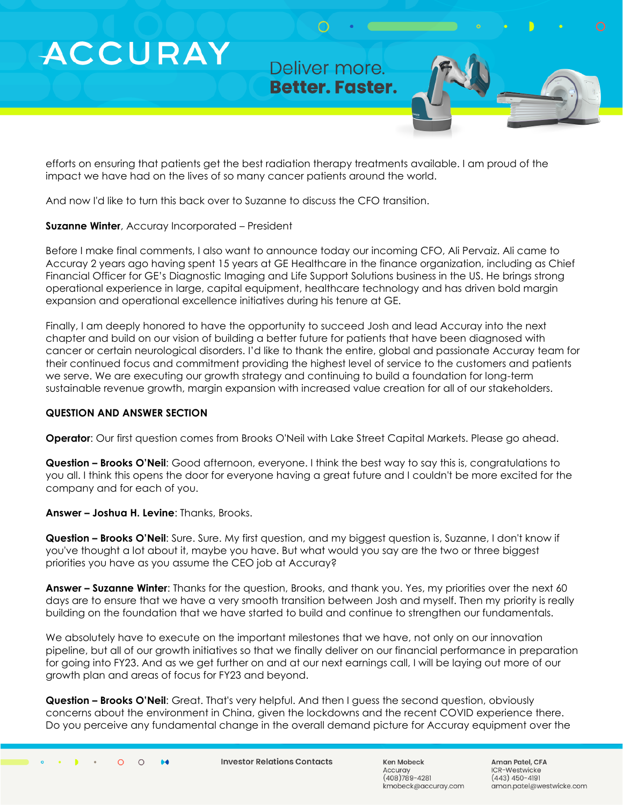Deliver more. **Better. Faster.** 

efforts on ensuring that patients get the best radiation therapy treatments available. I am proud of the impact we have had on the lives of so many cancer patients around the world.

And now I'd like to turn this back over to Suzanne to discuss the CFO transition.

#### **Suzanne Winter**, Accuray Incorporated – President

Before I make final comments, I also want to announce today our incoming CFO, Ali Pervaiz. Ali came to Accuray 2 years ago having spent 15 years at GE Healthcare in the finance organization, including as Chief Financial Officer for GE's Diagnostic Imaging and Life Support Solutions business in the US. He brings strong operational experience in large, capital equipment, healthcare technology and has driven bold margin expansion and operational excellence initiatives during his tenure at GE.

Finally, I am deeply honored to have the opportunity to succeed Josh and lead Accuray into the next chapter and build on our vision of building a better future for patients that have been diagnosed with cancer or certain neurological disorders. I'd like to thank the entire, global and passionate Accuray team for their continued focus and commitment providing the highest level of service to the customers and patients we serve. We are executing our growth strategy and continuing to build a foundation for long-term sustainable revenue growth, margin expansion with increased value creation for all of our stakeholders.

#### **QUESTION AND ANSWER SECTION**

**Operator**: Our first question comes from Brooks O'Neil with Lake Street Capital Markets. Please go ahead.

**Question – Brooks O'Neil**: Good afternoon, everyone. I think the best way to say this is, congratulations to you all. I think this opens the door for everyone having a great future and I couldn't be more excited for the company and for each of you.

**Answer – Joshua H. Levine**: Thanks, Brooks.

**Question – Brooks O'Neil**: Sure. Sure. My first question, and my biggest question is, Suzanne, I don't know if you've thought a lot about it, maybe you have. But what would you say are the two or three biggest priorities you have as you assume the CEO job at Accuray?

**Answer – Suzanne Winter**: Thanks for the question, Brooks, and thank you. Yes, my priorities over the next 60 days are to ensure that we have a very smooth transition between Josh and myself. Then my priority is really building on the foundation that we have started to build and continue to strengthen our fundamentals.

We absolutely have to execute on the important milestones that we have, not only on our innovation pipeline, but all of our growth initiatives so that we finally deliver on our financial performance in preparation for going into FY23. And as we get further on and at our next earnings call, I will be laying out more of our growth plan and areas of focus for FY23 and beyond.

**Question – Brooks O'Neil**: Great. That's very helpful. And then I guess the second question, obviously concerns about the environment in China, given the lockdowns and the recent COVID experience there. Do you perceive any fundamental change in the overall demand picture for Accuray equipment over the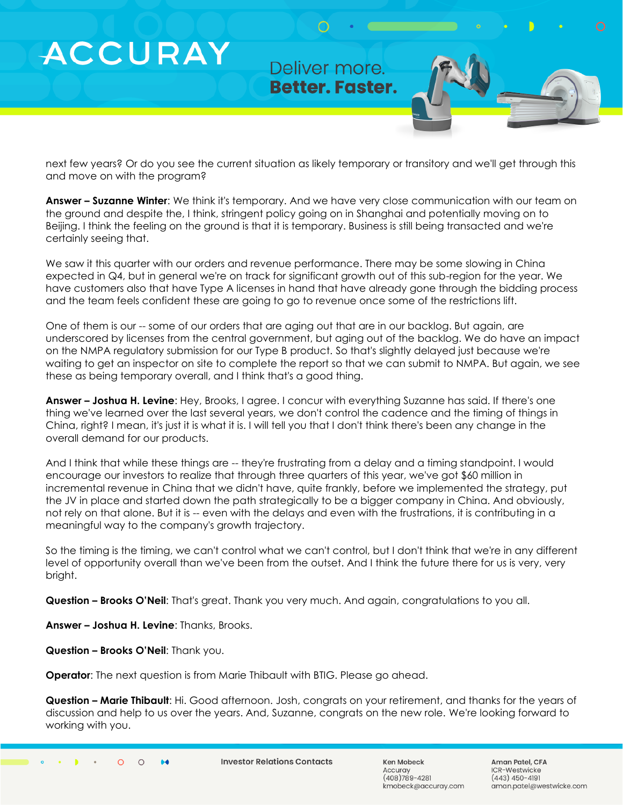### Deliver more. **Better. Faster.**

next few years? Or do you see the current situation as likely temporary or transitory and we'll get through this and move on with the program?

**Answer – Suzanne Winter**: We think it's temporary. And we have very close communication with our team on the ground and despite the, I think, stringent policy going on in Shanghai and potentially moving on to Beijing. I think the feeling on the ground is that it is temporary. Business is still being transacted and we're certainly seeing that.

We saw it this quarter with our orders and revenue performance. There may be some slowing in China expected in Q4, but in general we're on track for significant growth out of this sub-region for the year. We have customers also that have Type A licenses in hand that have already gone through the bidding process and the team feels confident these are going to go to revenue once some of the restrictions lift.

One of them is our -- some of our orders that are aging out that are in our backlog. But again, are underscored by licenses from the central government, but aging out of the backlog. We do have an impact on the NMPA regulatory submission for our Type B product. So that's slightly delayed just because we're waiting to get an inspector on site to complete the report so that we can submit to NMPA. But again, we see these as being temporary overall, and I think that's a good thing.

**Answer – Joshua H. Levine**: Hey, Brooks, I agree. I concur with everything Suzanne has said. If there's one thing we've learned over the last several years, we don't control the cadence and the timing of things in China, right? I mean, it's just it is what it is. I will tell you that I don't think there's been any change in the overall demand for our products.

And I think that while these things are -- they're frustrating from a delay and a timing standpoint. I would encourage our investors to realize that through three quarters of this year, we've got \$60 million in incremental revenue in China that we didn't have, quite frankly, before we implemented the strategy, put the JV in place and started down the path strategically to be a bigger company in China. And obviously, not rely on that alone. But it is -- even with the delays and even with the frustrations, it is contributing in a meaningful way to the company's growth trajectory.

So the timing is the timing, we can't control what we can't control, but I don't think that we're in any different level of opportunity overall than we've been from the outset. And I think the future there for us is very, very bright.

**Question – Brooks O'Neil**: That's great. Thank you very much. And again, congratulations to you all.

**Answer – Joshua H. Levine**: Thanks, Brooks.

**Question – Brooks O'Neil**: Thank you.

**ACCURAY** 

**Operator**: The next question is from Marie Thibault with BTIG. Please go ahead.

**Question – Marie Thibault**: Hi. Good afternoon. Josh, congrats on your retirement, and thanks for the years of discussion and help to us over the years. And, Suzanne, congrats on the new role. We're looking forward to working with you.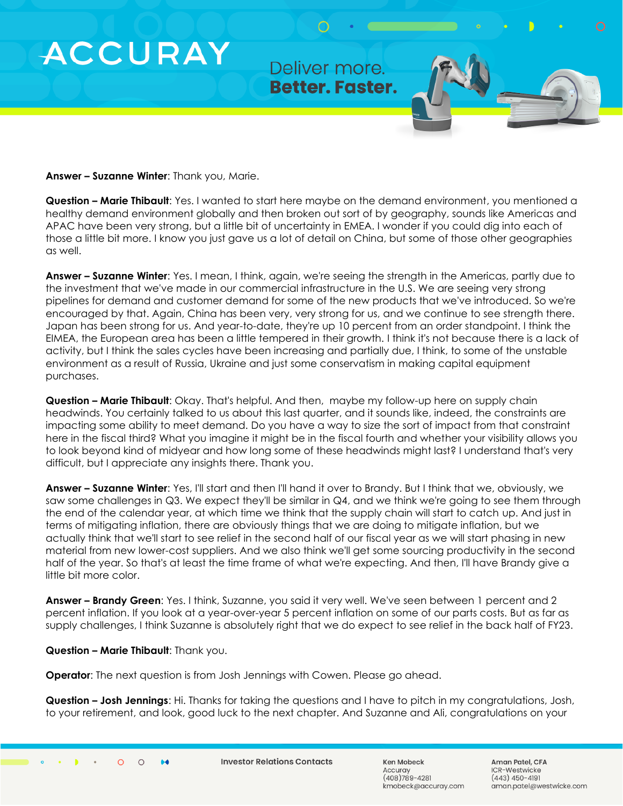### Deliver more. **Better. Faster.**

**Answer – Suzanne Winter**: Thank you, Marie.

**ACCURAY** 

**Question – Marie Thibault**: Yes. I wanted to start here maybe on the demand environment, you mentioned a healthy demand environment globally and then broken out sort of by geography, sounds like Americas and APAC have been very strong, but a little bit of uncertainty in EMEA. I wonder if you could dig into each of those a little bit more. I know you just gave us a lot of detail on China, but some of those other geographies as well.

**Answer – Suzanne Winter**: Yes. I mean, I think, again, we're seeing the strength in the Americas, partly due to the investment that we've made in our commercial infrastructure in the U.S. We are seeing very strong pipelines for demand and customer demand for some of the new products that we've introduced. So we're encouraged by that. Again, China has been very, very strong for us, and we continue to see strength there. Japan has been strong for us. And year-to-date, they're up 10 percent from an order standpoint. I think the EIMEA, the European area has been a little tempered in their growth. I think it's not because there is a lack of activity, but I think the sales cycles have been increasing and partially due, I think, to some of the unstable environment as a result of Russia, Ukraine and just some conservatism in making capital equipment purchases.

**Question – Marie Thibault**: Okay. That's helpful. And then, maybe my follow-up here on supply chain headwinds. You certainly talked to us about this last quarter, and it sounds like, indeed, the constraints are impacting some ability to meet demand. Do you have a way to size the sort of impact from that constraint here in the fiscal third? What you imagine it might be in the fiscal fourth and whether your visibility allows you to look beyond kind of midyear and how long some of these headwinds might last? I understand that's very difficult, but I appreciate any insights there. Thank you.

**Answer – Suzanne Winter**: Yes, I'll start and then I'll hand it over to Brandy. But I think that we, obviously, we saw some challenges in Q3. We expect they'll be similar in Q4, and we think we're going to see them through the end of the calendar year, at which time we think that the supply chain will start to catch up. And just in terms of mitigating inflation, there are obviously things that we are doing to mitigate inflation, but we actually think that we'll start to see relief in the second half of our fiscal year as we will start phasing in new material from new lower-cost suppliers. And we also think we'll get some sourcing productivity in the second half of the year. So that's at least the time frame of what we're expecting. And then, I'll have Brandy give a little bit more color.

**Answer – Brandy Green**: Yes. I think, Suzanne, you said it very well. We've seen between 1 percent and 2 percent inflation. If you look at a year-over-year 5 percent inflation on some of our parts costs. But as far as supply challenges, I think Suzanne is absolutely right that we do expect to see relief in the back half of FY23.

**Question – Marie Thibault**: Thank you.

**Operator**: The next question is from Josh Jennings with Cowen. Please go ahead.

**Question – Josh Jennings**: Hi. Thanks for taking the questions and I have to pitch in my congratulations, Josh, to your retirement, and look, good luck to the next chapter. And Suzanne and Ali, congratulations on your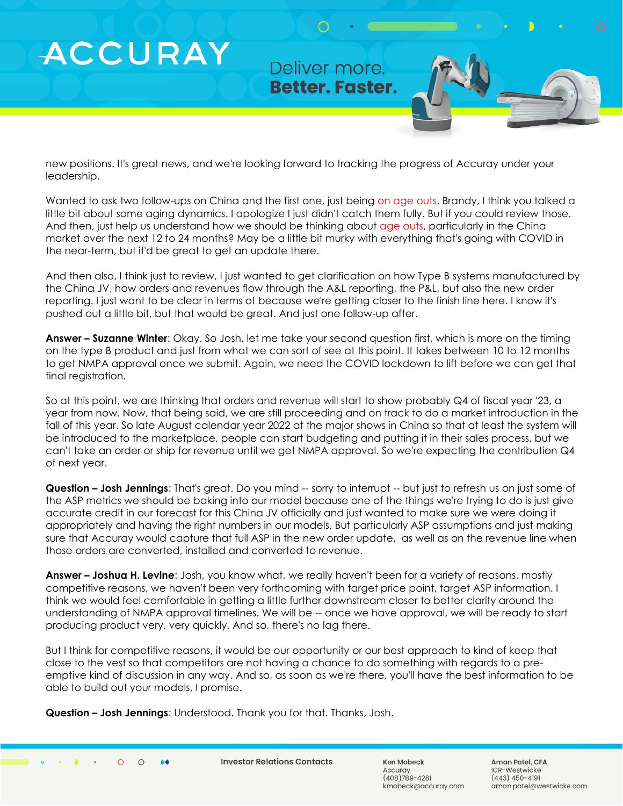### Deliver more. **Better. Faster.**

new positions. It's great news, and we're looking forward to tracking the progress of Accuray under your leadership.

Wanted to ask two follow-ups on China and the first one, just being on age outs. Brandy, I think you talked a little bit about some aging dynamics. I apologize I just didn't catch them fully. But if you could review those. And then, just help us understand how we should be thinking about age outs, particularly in the China market over the next 12 to 24 months? May be a little bit murky with everything that's going with COVID in the near-term, but it'd be great to get an update there.

And then also, I think just to review, I just wanted to get clarification on how Type B systems manufactured by the China JV, how orders and revenues flow through the A&L reporting, the P&L, but also the new order reporting. I just want to be clear in terms of because we're getting closer to the finish line here. I know it's pushed out a little bit, but that would be great. And just one follow-up after.

**Answer – Suzanne Winter**: Okay. So Josh, let me take your second question first, which is more on the timing on the type B product and just from what we can sort of see at this point. It takes between 10 to 12 months to get NMPA approval once we submit. Again, we need the COVID lockdown to lift before we can get that final registration.

So at this point, we are thinking that orders and revenue will start to show probably Q4 of fiscal year '23, a year from now. Now, that being said, we are still proceeding and on track to do a market introduction in the fall of this year. So late August calendar year 2022 at the major shows in China so that at least the system will be introduced to the marketplace, people can start budgeting and putting it in their sales process, but we can't take an order or ship for revenue until we get NMPA approval. So we're expecting the contribution Q4 of next year.

**Question – Josh Jennings**: That's great. Do you mind -- sorry to interrupt -- but just to refresh us on just some of the ASP metrics we should be baking into our model because one of the things we're trying to do is just give accurate credit in our forecast for this China JV officially and just wanted to make sure we were doing it appropriately and having the right numbers in our models. But particularly ASP assumptions and just making sure that Accuray would capture that full ASP in the new order update, as well as on the revenue line when those orders are converted, installed and converted to revenue.

**Answer – Joshua H. Levine**: Josh, you know what, we really haven't been for a variety of reasons, mostly competitive reasons, we haven't been very forthcoming with target price point, target ASP information. I think we would feel comfortable in getting a little further downstream closer to better clarity around the understanding of NMPA approval timelines. We will be -- once we have approval, we will be ready to start producing product very, very quickly. And so, there's no lag there.

But I think for competitive reasons, it would be our opportunity or our best approach to kind of keep that close to the vest so that competitors are not having a chance to do something with regards to a preemptive kind of discussion in any way. And so, as soon as we're there, you'll have the best information to be able to build out your models, I promise.

**Question – Josh Jennings**: Understood. Thank you for that. Thanks, Josh.

**ACCURAY**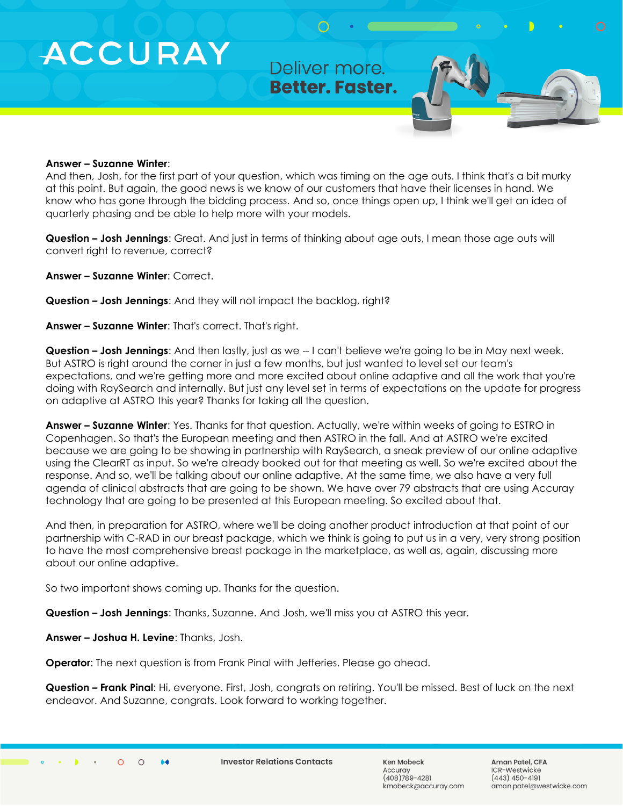Deliver more. **Better. Faster.** 

#### **Answer – Suzanne Winter**:

And then, Josh, for the first part of your question, which was timing on the age outs. I think that's a bit murky at this point. But again, the good news is we know of our customers that have their licenses in hand. We know who has gone through the bidding process. And so, once things open up, I think we'll get an idea of quarterly phasing and be able to help more with your models.

**Question – Josh Jennings**: Great. And just in terms of thinking about age outs, I mean those age outs will convert right to revenue, correct?

**Answer – Suzanne Winter**: Correct.

**Question – Josh Jennings**: And they will not impact the backlog, right?

**Answer – Suzanne Winter**: That's correct. That's right.

**Question – Josh Jennings**: And then lastly, just as we -- I can't believe we're going to be in May next week. But ASTRO is right around the corner in just a few months, but just wanted to level set our team's expectations, and we're getting more and more excited about online adaptive and all the work that you're doing with RaySearch and internally. But just any level set in terms of expectations on the update for progress on adaptive at ASTRO this year? Thanks for taking all the question.

**Answer – Suzanne Winter**: Yes. Thanks for that question. Actually, we're within weeks of going to ESTRO in Copenhagen. So that's the European meeting and then ASTRO in the fall. And at ASTRO we're excited because we are going to be showing in partnership with RaySearch, a sneak preview of our online adaptive using the ClearRT as input. So we're already booked out for that meeting as well. So we're excited about the response. And so, we'll be talking about our online adaptive. At the same time, we also have a very full agenda of clinical abstracts that are going to be shown. We have over 79 abstracts that are using Accuray technology that are going to be presented at this European meeting. So excited about that.

And then, in preparation for ASTRO, where we'll be doing another product introduction at that point of our partnership with C-RAD in our breast package, which we think is going to put us in a very, very strong position to have the most comprehensive breast package in the marketplace, as well as, again, discussing more about our online adaptive.

So two important shows coming up. Thanks for the question.

**Question – Josh Jennings**: Thanks, Suzanne. And Josh, we'll miss you at ASTRO this year.

**Answer – Joshua H. Levine**: Thanks, Josh.

**Operator**: The next question is from Frank Pinal with Jefferies. Please go ahead.

**Question – Frank Pinal**: Hi, everyone. First, Josh, congrats on retiring. You'll be missed. Best of luck on the next endeavor. And Suzanne, congrats. Look forward to working together.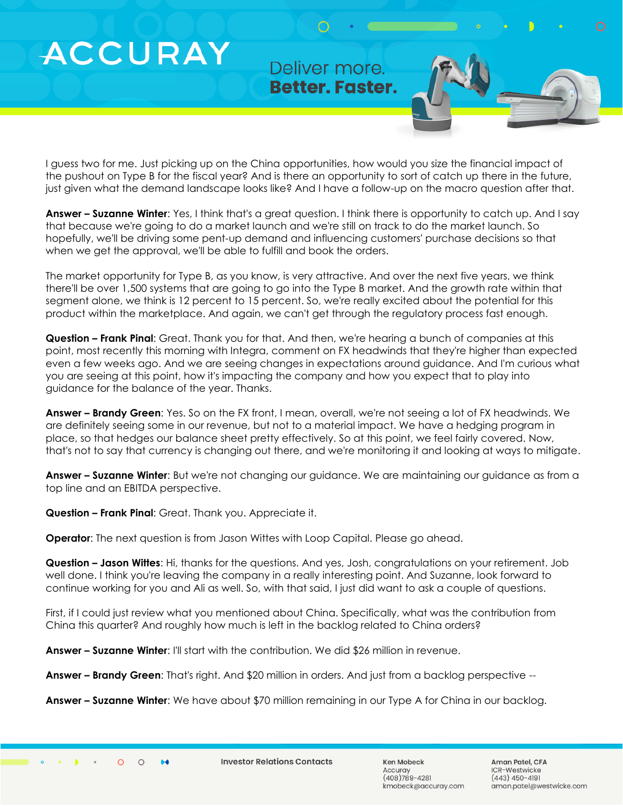Deliver more. **Better. Faster.** 

I guess two for me. Just picking up on the China opportunities, how would you size the financial impact of the pushout on Type B for the fiscal year? And is there an opportunity to sort of catch up there in the future, just given what the demand landscape looks like? And I have a follow-up on the macro question after that.

**Answer – Suzanne Winter**: Yes, I think that's a great question. I think there is opportunity to catch up. And I say that because we're going to do a market launch and we're still on track to do the market launch. So hopefully, we'll be driving some pent-up demand and influencing customers' purchase decisions so that when we get the approval, we'll be able to fulfill and book the orders.

The market opportunity for Type B, as you know, is very attractive. And over the next five years, we think there'll be over 1,500 systems that are going to go into the Type B market. And the growth rate within that segment alone, we think is 12 percent to 15 percent. So, we're really excited about the potential for this product within the marketplace. And again, we can't get through the regulatory process fast enough.

**Question – Frank Pinal**: Great. Thank you for that. And then, we're hearing a bunch of companies at this point, most recently this morning with Integra, comment on FX headwinds that they're higher than expected even a few weeks ago. And we are seeing changes in expectations around guidance. And I'm curious what you are seeing at this point, how it's impacting the company and how you expect that to play into guidance for the balance of the year. Thanks.

**Answer – Brandy Green**: Yes. So on the FX front, I mean, overall, we're not seeing a lot of FX headwinds. We are definitely seeing some in our revenue, but not to a material impact. We have a hedging program in place, so that hedges our balance sheet pretty effectively. So at this point, we feel fairly covered. Now, that's not to say that currency is changing out there, and we're monitoring it and looking at ways to mitigate.

**Answer – Suzanne Winter**: But we're not changing our guidance. We are maintaining our guidance as from a top line and an EBITDA perspective.

**Question – Frank Pinal**: Great. Thank you. Appreciate it.

**Operator**: The next question is from Jason Wittes with Loop Capital. Please go ahead.

**Question – Jason Wittes**: Hi, thanks for the questions. And yes, Josh, congratulations on your retirement. Job well done. I think you're leaving the company in a really interesting point. And Suzanne, look forward to continue working for you and Ali as well. So, with that said, I just did want to ask a couple of questions.

First, if I could just review what you mentioned about China. Specifically, what was the contribution from China this quarter? And roughly how much is left in the backlog related to China orders?

**Answer – Suzanne Winter**: I'll start with the contribution. We did \$26 million in revenue.

**Answer – Brandy Green**: That's right. And \$20 million in orders. And just from a backlog perspective --

**Answer – Suzanne Winter**: We have about \$70 million remaining in our Type A for China in our backlog.